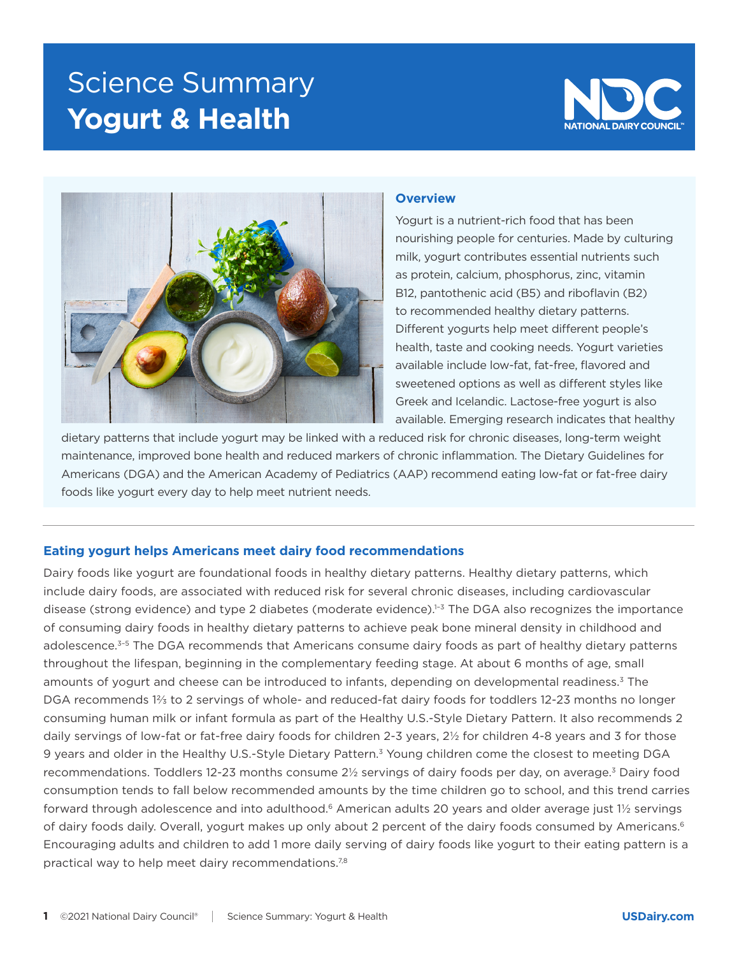# Science Summary **Yogurt & Health**





### **Overview**

Yogurt is a nutrient-rich food that has been nourishing people for centuries. Made by culturing milk, yogurt contributes essential nutrients such as protein, calcium, phosphorus, zinc, vitamin B12, pantothenic acid (B5) and riboflavin (B2) to recommended healthy dietary patterns. Different yogurts help meet different people's health, taste and cooking needs. Yogurt varieties available include low-fat, fat-free, flavored and sweetened options as well as different styles like Greek and Icelandic. Lactose-free yogurt is also available. Emerging research indicates that healthy

dietary patterns that include yogurt may be linked with a reduced risk for chronic diseases, long-term weight maintenance, improved bone health and reduced markers of chronic inflammation. The Dietary Guidelines for Americans (DGA) and the American Academy of Pediatrics (AAP) recommend eating low-fat or fat-free dairy foods like yogurt every day to help meet nutrient needs.

## **Eating yogurt helps Americans meet dairy food recommendations**

Dairy foods like yogurt are foundational foods in healthy dietary patterns. Healthy dietary patterns, which include dairy foods, are associated with reduced risk for several chronic diseases, including cardiovascular disease (strong evidence) and type 2 diabetes (moderate evidence).<sup>1-3</sup> The DGA also recognizes the importance of consuming dairy foods in healthy dietary patterns to achieve peak bone mineral density in childhood and adolescence.<sup>3-5</sup> The DGA recommends that Americans consume dairy foods as part of healthy dietary patterns throughout the lifespan, beginning in the complementary feeding stage. At about 6 months of age, small amounts of yogurt and cheese can be introduced to infants, depending on developmental readiness.3 The DGA recommends 1⅔ to 2 servings of whole- and reduced-fat dairy foods for toddlers 12-23 months no longer consuming human milk or infant formula as part of the Healthy U.S.-Style Dietary Pattern. It also recommends 2 daily servings of low-fat or fat-free dairy foods for children 2-3 years, 2½ for children 4-8 years and 3 for those 9 years and older in the Healthy U.S.-Style Dietary Pattern.3 Young children come the closest to meeting DGA recommendations. Toddlers 12-23 months consume 2½ servings of dairy foods per day, on average.<sup>3</sup> Dairy food consumption tends to fall below recommended amounts by the time children go to school, and this trend carries forward through adolescence and into adulthood.<sup>6</sup> American adults 20 years and older average just 11/2 servings of dairy foods daily. Overall, yogurt makes up only about 2 percent of the dairy foods consumed by Americans.<sup>6</sup> Encouraging adults and children to add 1 more daily serving of dairy foods like yogurt to their eating pattern is a practical way to help meet dairy recommendations.<sup>7,8</sup>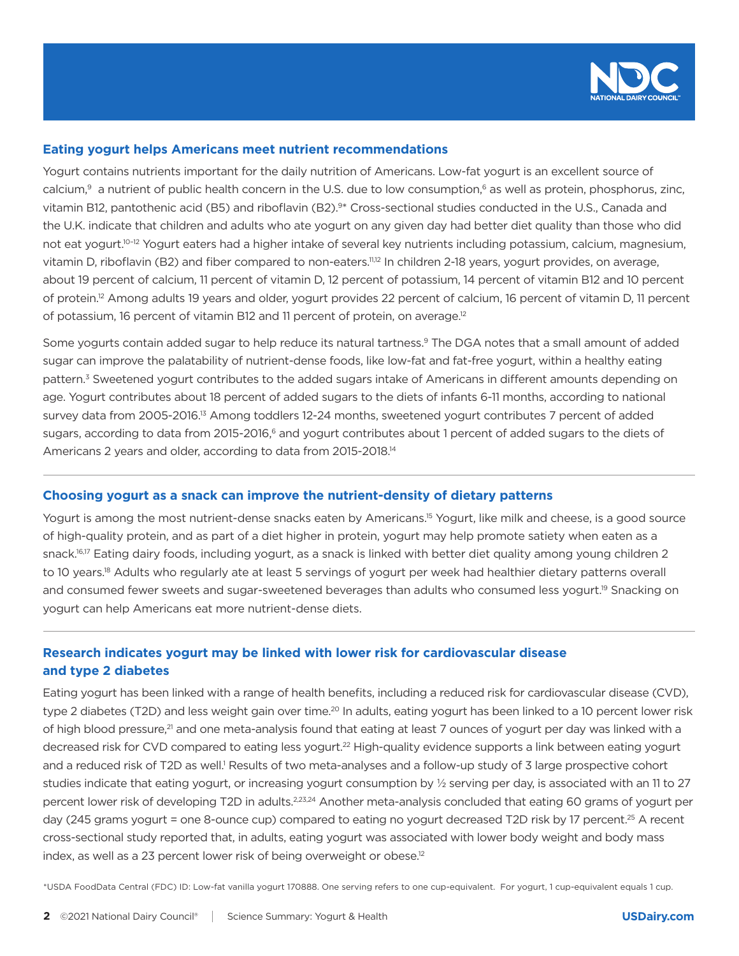

### **Eating yogurt helps Americans meet nutrient recommendations**

Yogurt contains nutrients important for the daily nutrition of Americans. Low-fat yogurt is an excellent source of calcium, $9$  a nutrient of public health concern in the U.S. due to low consumption, $6$  as well as protein, phosphorus, zinc, vitamin B12, pantothenic acid (B5) and riboflavin (B2).<sup>9\*</sup> Cross-sectional studies conducted in the U.S., Canada and the U.K. indicate that children and adults who ate yogurt on any given day had better diet quality than those who did not eat yogurt.<sup>10–12</sup> Yogurt eaters had a higher intake of several key nutrients including potassium, calcium, magnesium, vitamin D, riboflavin (B2) and fiber compared to non-eaters.<sup>11,12</sup> In children 2-18 years, yogurt provides, on average, about 19 percent of calcium, 11 percent of vitamin D, 12 percent of potassium, 14 percent of vitamin B12 and 10 percent of protein.12 Among adults 19 years and older, yogurt provides 22 percent of calcium, 16 percent of vitamin D, 11 percent of potassium, 16 percent of vitamin B12 and 11 percent of protein, on average.12

Some yogurts contain added sugar to help reduce its natural tartness.<sup>9</sup> The DGA notes that a small amount of added sugar can improve the palatability of nutrient-dense foods, like low-fat and fat-free yogurt, within a healthy eating pattern.<sup>3</sup> Sweetened yogurt contributes to the added sugars intake of Americans in different amounts depending on age. Yogurt contributes about 18 percent of added sugars to the diets of infants 6-11 months, according to national survey data from 2005-2016.<sup>13</sup> Among toddlers 12-24 months, sweetened yogurt contributes 7 percent of added sugars, according to data from 2015-2016,<sup>6</sup> and yogurt contributes about 1 percent of added sugars to the diets of Americans 2 years and older, according to data from 2015-2018.14

#### **Choosing yogurt as a snack can improve the nutrient-density of dietary patterns**

Yogurt is among the most nutrient-dense snacks eaten by Americans.<sup>15</sup> Yogurt, like milk and cheese, is a good source of high-quality protein, and as part of a diet higher in protein, yogurt may help promote satiety when eaten as a snack.<sup>16,17</sup> Eating dairy foods, including yogurt, as a snack is linked with better diet quality among young children 2 to 10 years.<sup>18</sup> Adults who regularly ate at least 5 servings of yogurt per week had healthier dietary patterns overall and consumed fewer sweets and sugar-sweetened beverages than adults who consumed less yogurt.<sup>19</sup> Snacking on yogurt can help Americans eat more nutrient-dense diets.

# **Research indicates yogurt may be linked with lower risk for cardiovascular disease and type 2 diabetes**

Eating yogurt has been linked with a range of health benefits, including a reduced risk for cardiovascular disease (CVD), type 2 diabetes (T2D) and less weight gain over time.<sup>20</sup> In adults, eating yogurt has been linked to a 10 percent lower risk of high blood pressure,<sup>21</sup> and one meta-analysis found that eating at least 7 ounces of yogurt per day was linked with a decreased risk for CVD compared to eating less yogurt.<sup>22</sup> High-quality evidence supports a link between eating yogurt and a reduced risk of T2D as well.<sup>1</sup> Results of two meta-analyses and a follow-up study of 3 large prospective cohort studies indicate that eating yogurt, or increasing yogurt consumption by ½ serving per day, is associated with an 11 to 27 percent lower risk of developing T2D in adults.<sup>2,23,24</sup> Another meta-analysis concluded that eating 60 grams of yogurt per day (245 grams yogurt = one 8-ounce cup) compared to eating no yogurt decreased T2D risk by 17 percent.<sup>25</sup> A recent cross-sectional study reported that, in adults, eating yogurt was associated with lower body weight and body mass index, as well as a 23 percent lower risk of being overweight or obese.<sup>12</sup>

\*USDA FoodData Central (FDC) ID: Low-fat vanilla yogurt 170888. One serving refers to one cup-equivalent. For yogurt, 1 cup-equivalent equals 1 cup.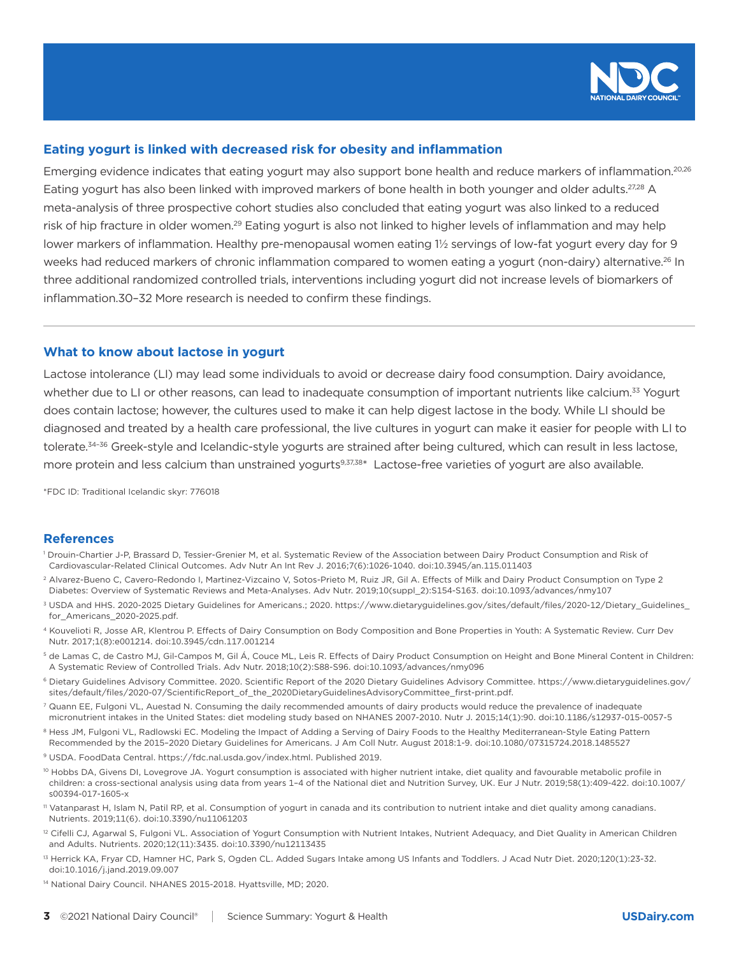

## **Eating yogurt is linked with decreased risk for obesity and inflammation**

Emerging evidence indicates that eating yogurt may also support bone health and reduce markers of inflammation.<sup>20,26</sup> Eating yogurt has also been linked with improved markers of bone health in both younger and older adults.<sup>27,28</sup> A meta-analysis of three prospective cohort studies also concluded that eating yogurt was also linked to a reduced risk of hip fracture in older women.<sup>29</sup> Eating yogurt is also not linked to higher levels of inflammation and may help lower markers of inflammation. Healthy pre-menopausal women eating 1½ servings of low-fat yogurt every day for 9 weeks had reduced markers of chronic inflammation compared to women eating a yogurt (non-dairy) alternative.<sup>26</sup> In three additional randomized controlled trials, interventions including yogurt did not increase levels of biomarkers of inflammation.30–32 More research is needed to confirm these findings.

#### **What to know about lactose in yogurt**

Lactose intolerance (LI) may lead some individuals to avoid or decrease dairy food consumption. Dairy avoidance, whether due to LI or other reasons, can lead to inadequate consumption of important nutrients like calcium.<sup>33</sup> Yogurt does contain lactose; however, the cultures used to make it can help digest lactose in the body. While LI should be diagnosed and treated by a health care professional, the live cultures in yogurt can make it easier for people with LI to tolerate.<sup>34–36</sup> Greek-style and Icelandic-style yogurts are strained after being cultured, which can result in less lactose, more protein and less calcium than unstrained yogurts<sup>9,37,38\*</sup> Lactose-free varieties of yogurt are also available.

\*FDC ID: Traditional Icelandic skyr: 776018

#### **References**

- 1 Drouin-Chartier J-P, Brassard D, Tessier-Grenier M, et al. Systematic Review of the Association between Dairy Product Consumption and Risk of Cardiovascular-Related Clinical Outcomes. Adv Nutr An Int Rev J. 2016;7(6):1026-1040. doi:10.3945/an.115.011403
- <sup>2</sup> Alvarez-Bueno C, Cavero-Redondo I, Martinez-Vizcaino V, Sotos-Prieto M, Ruiz JR, Gil A. Effects of Milk and Dairy Product Consumption on Type 2 Diabetes: Overview of Systematic Reviews and Meta-Analyses. Adv Nutr. 2019;10(suppl\_2):S154-S163. doi:10.1093/advances/nmy107
- 3 USDA and HHS. 2020-2025 Dietary Guidelines for Americans.; 2020. https://www.dietaryguidelines.gov/sites/default/files/2020-12/Dietary\_Guidelines\_ for\_Americans\_2020-2025.pdf.
- 4 Kouvelioti R, Josse AR, Klentrou P. Effects of Dairy Consumption on Body Composition and Bone Properties in Youth: A Systematic Review. Curr Dev Nutr. 2017;1(8):e001214. doi:10.3945/cdn.117.001214
- 5 de Lamas C, de Castro MJ, Gil-Campos M, Gil Á, Couce ML, Leis R. Effects of Dairy Product Consumption on Height and Bone Mineral Content in Children: A Systematic Review of Controlled Trials. Adv Nutr. 2018;10(2):S88-S96. doi:10.1093/advances/nmy096
- 6 Dietary Guidelines Advisory Committee. 2020. Scientific Report of the 2020 Dietary Guidelines Advisory Committee. https://www.dietaryguidelines.gov/ sites/default/files/2020-07/ScientificReport\_of\_the\_2020DietaryGuidelinesAdvisoryCommittee\_first-print.pdf.
- <sup>7</sup> Quann EE, Fulgoni VL, Auestad N. Consuming the daily recommended amounts of dairy products would reduce the prevalence of inadequate micronutrient intakes in the United States: diet modeling study based on NHANES 2007-2010. Nutr J. 2015;14(1):90. doi:10.1186/s12937-015-0057-5
- 8 Hess JM, Fulgoni VL, Radlowski EC. Modeling the Impact of Adding a Serving of Dairy Foods to the Healthy Mediterranean-Style Eating Pattern Recommended by the 2015–2020 Dietary Guidelines for Americans. J Am Coll Nutr. August 2018:1-9. doi:10.1080/07315724.2018.1485527
- 9 USDA. FoodData Central. https://fdc.nal.usda.gov/index.html. Published 2019.
- <sup>10</sup> Hobbs DA, Givens DI, Lovegrove JA. Yogurt consumption is associated with higher nutrient intake, diet quality and favourable metabolic profile in children: a cross-sectional analysis using data from years 1–4 of the National diet and Nutrition Survey, UK. Eur J Nutr. 2019;58(1):409-422. doi:10.1007/ s00394-017-1605-x
- 11 Vatanparast H, Islam N, Patil RP, et al. Consumption of yogurt in canada and its contribution to nutrient intake and diet quality among canadians. Nutrients. 2019;11(6). doi:10.3390/nu11061203
- <sup>12</sup> Cifelli CJ, Agarwal S, Fulgoni VL. Association of Yogurt Consumption with Nutrient Intakes, Nutrient Adequacy, and Diet Quality in American Children and Adults. Nutrients. 2020;12(11):3435. doi:10.3390/nu12113435
- <sup>13</sup> Herrick KA, Fryar CD, Hamner HC, Park S, Ogden CL. Added Sugars Intake among US Infants and Toddlers. J Acad Nutr Diet. 2020;120(1):23-32. doi:10.1016/j.jand.2019.09.007
- <sup>14</sup> National Dairy Council. NHANES 2015-2018. Hyattsville, MD; 2020.